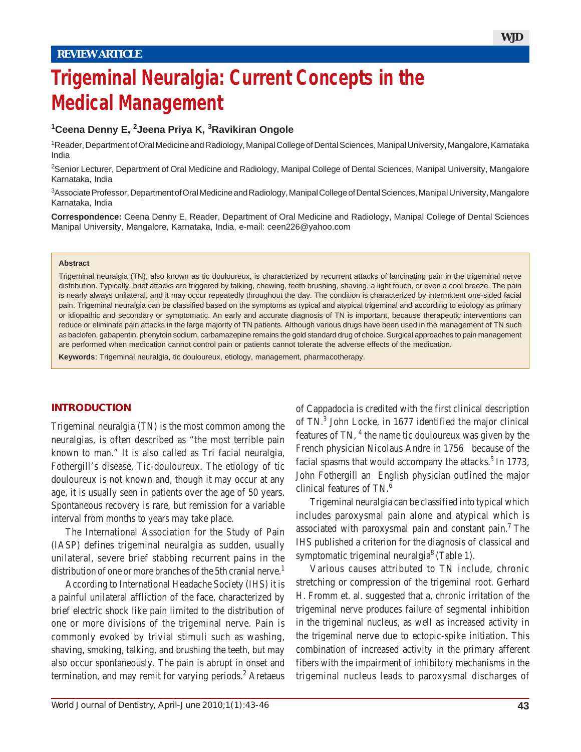# **Trigeminal Neuralgia: Current Concepts in the Medical Management**

## **1 Ceena Denny E, 2 Jeena Priya K, <sup>3</sup> Ravikiran Ongole**

1 Reader, Department of Oral Medicine and Radiology, Manipal College of Dental Sciences, Manipal University, Mangalore, Karnataka India

<sup>2</sup>Senior Lecturer, Department of Oral Medicine and Radiology, Manipal College of Dental Sciences, Manipal University, Mangalore Karnataka, India

3 Associate Professor, Department of Oral Medicine and Radiology, Manipal College of Dental Sciences, Manipal University, Mangalore Karnataka, India

**Correspondence:** Ceena Denny E, Reader, Department of Oral Medicine and Radiology, Manipal College of Dental Sciences Manipal University, Mangalore, Karnataka, India, e-mail: ceen226@yahoo.com

#### **Abstract**

Trigeminal neuralgia (TN), also known as tic douloureux, is characterized by recurrent attacks of lancinating pain in the trigeminal nerve distribution. Typically, brief attacks are triggered by talking, chewing, teeth brushing, shaving, a light touch, or even a cool breeze. The pain is nearly always unilateral, and it may occur repeatedly throughout the day. The condition is characterized by intermittent one-sided facial pain. Trigeminal neuralgia can be classified based on the symptoms as typical and atypical trigeminal and according to etiology as primary or idiopathic and secondary or symptomatic. An early and accurate diagnosis of TN is important, because therapeutic interventions can reduce or eliminate pain attacks in the large majority of TN patients. Although various drugs have been used in the management of TN such as baclofen, gabapentin, phenytoin sodium, carbamazepine remains the gold standard drug of choice. Surgical approaches to pain management are performed when medication cannot control pain or patients cannot tolerate the adverse effects of the medication.

**Keywords**: Trigeminal neuralgia, tic douloureux, etiology, management, pharmacotherapy.

### **INTRODUCTION**

Trigeminal neuralgia (TN) is the most common among the neuralgias, is often described as "the most terrible pain known to man." It is also called as Tri facial neuralgia, Fothergill's disease, Tic-douloureux. The etiology of tic douloureux is not known and, though it may occur at any age, it is usually seen in patients over the age of 50 years. Spontaneous recovery is rare, but remission for a variable interval from months to years may take place.

The International Association for the Study of Pain (IASP) defines trigeminal neuralgia as sudden, usually unilateral, severe brief stabbing recurrent pains in the distribution of one or more branches of the 5th cranial nerve.<sup>1</sup>

According to International Headache Society (IHS) it is a painful unilateral affliction of the face, characterized by brief electric shock like pain limited to the distribution of one or more divisions of the trigeminal nerve. Pain is commonly evoked by trivial stimuli such as washing, shaving, smoking, talking, and brushing the teeth, but may also occur spontaneously. The pain is abrupt in onset and termination, and may remit for varying periods.<sup>2</sup> Aretaeus

of Cappadocia is credited with the first clinical description of TN.<sup>3</sup> John Locke, in 1677 identified the major clinical features of TN,  $<sup>4</sup>$  the name tic douloureux was given by the</sup> French physician Nicolaus Andre in 1756 because of the facial spasms that would accompany the attacks.<sup>5</sup> In 1773, John Fothergill an English physician outlined the major clinical features of TN.<sup>6</sup>

Trigeminal neuralgia can be classified into typical which includes paroxysmal pain alone and atypical which is associated with paroxysmal pain and constant pain.<sup>7</sup> The IHS published a criterion for the diagnosis of classical and symptomatic trigeminal neuralgia<sup>8</sup> (Table 1).

Various causes attributed to TN include, chronic stretching or compression of the trigeminal root. Gerhard H. Fromm et. al. suggested that a, chronic irritation of the trigeminal nerve produces failure of segmental inhibition in the trigeminal nucleus, as well as increased activity in the trigeminal nerve due to ectopic-spike initiation. This combination of increased activity in the primary afferent fibers with the impairment of inhibitory mechanisms in the trigeminal nucleus leads to paroxysmal discharges of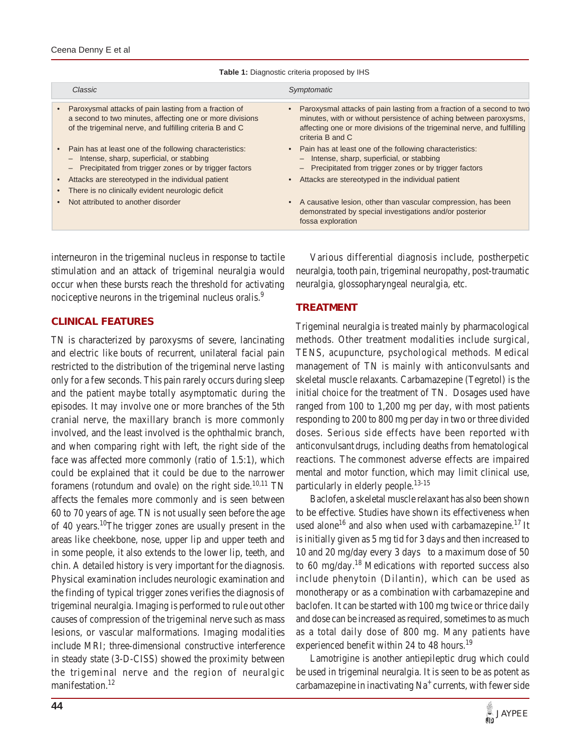| Classic                                                                                                                                                                                                                                                                | Symptomatic                                                                                                                                                                                                                               |
|------------------------------------------------------------------------------------------------------------------------------------------------------------------------------------------------------------------------------------------------------------------------|-------------------------------------------------------------------------------------------------------------------------------------------------------------------------------------------------------------------------------------------|
| Paroxysmal attacks of pain lasting from a fraction of<br>a second to two minutes, affecting one or more divisions<br>of the trigeminal nerve, and fulfilling criteria B and C                                                                                          | Paroxysmal attacks of pain lasting from a fraction of a second to two<br>minutes, with or without persistence of aching between paroxysms,<br>affecting one or more divisions of the trigeminal nerve, and fulfilling<br>criteria B and C |
| Pain has at least one of the following characteristics:<br>Intense, sharp, superficial, or stabbing<br>Precipitated from trigger zones or by trigger factors<br>Attacks are stereotyped in the individual patient<br>There is no clinically evident neurologic deficit | • Pain has at least one of the following characteristics:<br>- Intense, sharp, superficial, or stabbing<br>- Precipitated from trigger zones or by trigger factors<br>Attacks are stereotyped in the individual patient                   |
| Not attributed to another disorder                                                                                                                                                                                                                                     | A causative lesion, other than vascular compression, has been<br>demonstrated by special investigations and/or posterior<br>fossa exploration                                                                                             |
|                                                                                                                                                                                                                                                                        |                                                                                                                                                                                                                                           |

#### **Table 1:** Diagnostic criteria proposed by IHS

interneuron in the trigeminal nucleus in response to tactile stimulation and an attack of trigeminal neuralgia would occur when these bursts reach the threshold for activating nociceptive neurons in the trigeminal nucleus oralis.<sup>9</sup>

## **CLINICAL FEATURES**

TN is characterized by paroxysms of severe, lancinating and electric like bouts of recurrent, unilateral facial pain restricted to the distribution of the trigeminal nerve lasting only for a few seconds. This pain rarely occurs during sleep and the patient maybe totally asymptomatic during the episodes. It may involve one or more branches of the 5th cranial nerve, the maxillary branch is more commonly involved, and the least involved is the ophthalmic branch, and when comparing right with left, the right side of the face was affected more commonly (ratio of 1.5:1), which could be explained that it could be due to the narrower foramens (rotundum and ovale) on the right side. $10,11$  TN affects the females more commonly and is seen between 60 to 70 years of age. TN is not usually seen before the age of 40 years.<sup>10</sup>The trigger zones are usually present in the areas like cheekbone, nose, upper lip and upper teeth and in some people, it also extends to the lower lip, teeth, and chin. A detailed history is very important for the diagnosis. Physical examination includes neurologic examination and the finding of typical trigger zones verifies the diagnosis of trigeminal neuralgia. Imaging is performed to rule out other causes of compression of the trigeminal nerve such as mass lesions, or vascular malformations. Imaging modalities include MRI; three-dimensional constructive interference in steady state (3-D-CISS) showed the proximity between the trigeminal nerve and the region of neuralgic manifestation.<sup>12</sup>

Various differential diagnosis include, postherpetic neuralgia, tooth pain, trigeminal neuropathy, post-traumatic neuralgia, glossopharyngeal neuralgia, etc.

## **TREATMENT**

Trigeminal neuralgia is treated mainly by pharmacological methods. Other treatment modalities include surgical, TENS, acupuncture, psychological methods. Medical management of TN is mainly with anticonvulsants and skeletal muscle relaxants. Carbamazepine (Tegretol) is the initial choice for the treatment of TN. Dosages used have ranged from 100 to 1,200 mg per day, with most patients responding to 200 to 800 mg per day in two or three divided doses. Serious side effects have been reported with anticonvulsant drugs, including deaths from hematological reactions. The commonest adverse effects are impaired mental and motor function, which may limit clinical use, particularly in elderly people.<sup>13-15</sup>

Baclofen, a skeletal muscle relaxant has also been shown to be effective. Studies have shown its effectiveness when used alone<sup>16</sup> and also when used with carbamazepine.<sup>17</sup> It is initially given as 5 mg tid for 3 days and then increased to 10 and 20 mg/day every 3 days to a maximum dose of 50 to 60 mg/day.<sup>18</sup> Medications with reported success also include phenytoin (Dilantin), which can be used as monotherapy or as a combination with carbamazepine and baclofen. It can be started with 100 mg twice or thrice daily and dose can be increased as required, sometimes to as much as a total daily dose of 800 mg. Many patients have experienced benefit within 24 to 48 hours.<sup>19</sup>

Lamotrigine is another antiepileptic drug which could be used in trigeminal neuralgia. It is seen to be as potent as carbamazepine in inactivating  $Na<sup>+</sup>$  currents, with fewer side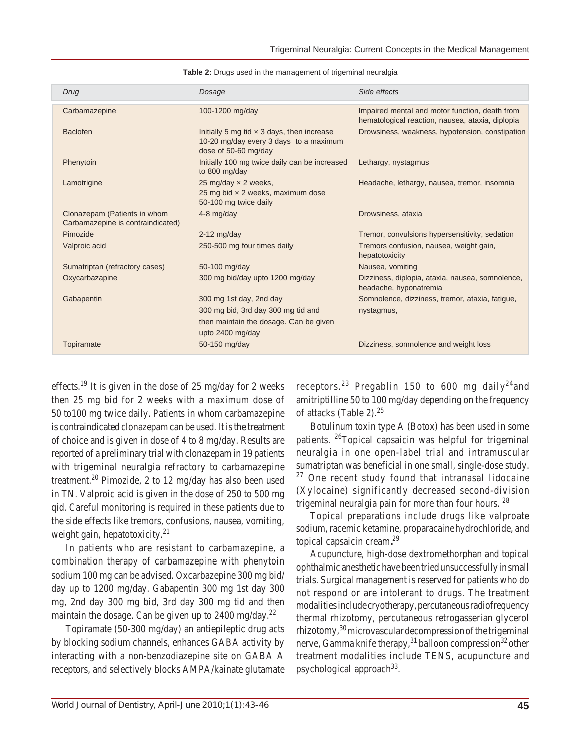| Drug                                                              | Dosage                                                                                                              | Side effects                                                                                       |
|-------------------------------------------------------------------|---------------------------------------------------------------------------------------------------------------------|----------------------------------------------------------------------------------------------------|
| Carbamazepine                                                     | 100-1200 mg/day                                                                                                     | Impaired mental and motor function, death from<br>hematological reaction, nausea, ataxia, diplopia |
| <b>Baclofen</b>                                                   | Initially 5 mg tid $\times$ 3 days, then increase<br>10-20 mg/day every 3 days to a maximum<br>dose of 50-60 mg/day | Drowsiness, weakness, hypotension, constipation                                                    |
| Phenytoin                                                         | Initially 100 mg twice daily can be increased<br>to 800 mg/day                                                      | Lethargy, nystagmus                                                                                |
| Lamotrigine                                                       | 25 mg/day x 2 weeks,<br>25 mg bid x 2 weeks, maximum dose<br>50-100 mg twice daily                                  | Headache, lethargy, nausea, tremor, insomnia                                                       |
| Clonazepam (Patients in whom<br>Carbamazepine is contraindicated) | 4-8 mg/day                                                                                                          | Drowsiness, ataxia                                                                                 |
| Pimozide                                                          | $2-12$ mg/day                                                                                                       | Tremor, convulsions hypersensitivity, sedation                                                     |
| Valproic acid                                                     | 250-500 mg four times daily                                                                                         | Tremors confusion, nausea, weight gain,<br>hepatotoxicity                                          |
| Sumatriptan (refractory cases)                                    | 50-100 mg/day                                                                                                       | Nausea, vomiting                                                                                   |
| Oxycarbazapine                                                    | 300 mg bid/day upto 1200 mg/day                                                                                     | Dizziness, diplopia, ataxia, nausea, somnolence,<br>headache, hyponatremia                         |
| Gabapentin                                                        | 300 mg 1st day, 2nd day                                                                                             | Somnolence, dizziness, tremor, ataxia, fatigue,                                                    |
|                                                                   | 300 mg bid, 3rd day 300 mg tid and                                                                                  | nystagmus,                                                                                         |
|                                                                   | then maintain the dosage. Can be given                                                                              |                                                                                                    |
|                                                                   | upto 2400 mg/day                                                                                                    |                                                                                                    |
| Topiramate                                                        | 50-150 mg/day                                                                                                       | Dizziness, somnolence and weight loss                                                              |

**Table 2:** Drugs used in the management of trigeminal neuralgia

effects.<sup>19</sup> It is given in the dose of 25 mg/day for 2 weeks then 25 mg bid for 2 weeks with a maximum dose of 50 to100 mg twice daily. Patients in whom carbamazepine is contraindicated clonazepam can be used. It is the treatment of choice and is given in dose of 4 to 8 mg/day. Results are reported of a preliminary trial with clonazepam in 19 patients with trigeminal neuralgia refractory to carbamazepine treatment.<sup>20</sup> Pimozide, 2 to 12 mg/day has also been used in TN. Valproic acid is given in the dose of 250 to 500 mg qid. Careful monitoring is required in these patients due to the side effects like tremors, confusions, nausea, vomiting, weight gain, hepatotoxicity.<sup>21</sup>

In patients who are resistant to carbamazepine, a combination therapy of carbamazepine with phenytoin sodium 100 mg can be advised. Oxcarbazepine 300 mg bid/ day up to 1200 mg/day. Gabapentin 300 mg 1st day 300 mg, 2nd day 300 mg bid, 3rd day 300 mg tid and then maintain the dosage. Can be given up to  $2400$  mg/day.<sup>22</sup>

Topiramate (50-300 mg/day) an antiepileptic drug acts by blocking sodium channels, enhances GABA activity by interacting with a non-benzodiazepine site on GABA A receptors, and selectively blocks AMPA/kainate glutamate receptors.<sup>23</sup> Pregablin 150 to 600 mg daily<sup>24</sup> and amitriptilline 50 to 100 mg/day depending on the frequency of attacks (Table 2).<sup>25</sup>

Botulinum toxin type A (Botox) has been used in some patients. 26Topical capsaicin was helpful for trigeminal neuralgia in one open-label trial and intramuscular sumatriptan was beneficial in one small, single-dose study.  $27$  One recent study found that intranasal lidocaine (Xylocaine) significantly decreased second-division trigeminal neuralgia pain for more than four hours.  $28$ 

Topical preparations include drugs like valproate sodium, racemic ketamine, proparacainehydrochloride, and topical capsaicin cream**.** 29

Acupuncture, high-dose dextromethorphan and topical ophthalmic anesthetic have been tried unsuccessfully in small trials. Surgical management is reserved for patients who do not respond or are intolerant to drugs. The treatment modalities include cryotherapy, percutaneous radiofrequency thermal rhizotomy, percutaneous retrogasserian glycerol rhizotomy,  $30$  microvascular decompression of the trigeminal nerve, Gamma knife therapy,  $31$  balloon compression  $32$  other treatment modalities include TENS, acupuncture and psychological approach $33$ .